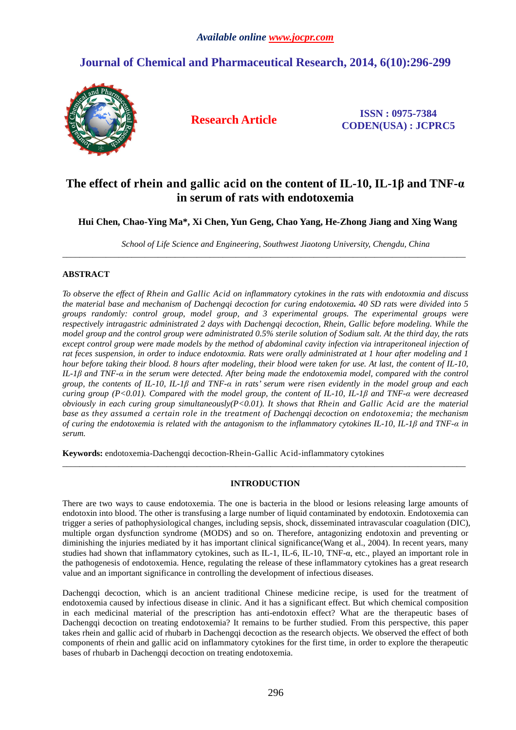# **Journal of Chemical and Pharmaceutical Research, 2014, 6(10):296-299**



**Research Article ISSN : 0975-7384 CODEN(USA) : JCPRC5**

# **The effect of rhein and gallic acid on the content of IL-10, IL-1β and TNF-α in serum of rats with endotoxemia**

 **Hui Chen, Chao-Ying Ma\*, Xi Chen, Yun Geng, Chao Yang, He-Zhong Jiang and Xing Wang** 

\_\_\_\_\_\_\_\_\_\_\_\_\_\_\_\_\_\_\_\_\_\_\_\_\_\_\_\_\_\_\_\_\_\_\_\_\_\_\_\_\_\_\_\_\_\_\_\_\_\_\_\_\_\_\_\_\_\_\_\_\_\_\_\_\_\_\_\_\_\_\_\_\_\_\_\_\_\_\_\_\_\_\_\_\_\_\_\_\_\_\_\_\_

*School of Life Science and Engineering, Southwest Jiaotong University, Chengdu, China* 

# **ABSTRACT**

*To observe the effect of Rhein and Gallic Acid on inflammatory cytokines in the rats with endotoxmia and discuss the material base and mechanism of Dachengqi decoction for curing endotoxemia. 40 SD rats were divided into 5 groups randomly: control group, model group, and 3 experimental groups. The experimental groups were respectively intragastric administrated 2 days with Dachengqi decoction, Rhein, Gallic before modeling. While the model group and the control group were administrated 0.5% sterile solution of Sodium salt. At the third day, the rats except control group were made models by the method of abdominal cavity infection via intraperitoneal injection of rat feces suspension, in order to induce endotoxmia. Rats were orally administrated at 1 hour after modeling and 1 hour before taking their blood. 8 hours after modeling, their blood were taken for use. At last, the content of IL-10, IL-1β and TNF-α in the serum were detected. After being made the endotoxemia model, compared with the control group, the contents of IL-10, IL-1β and TNF-α in rats' serum were risen evidently in the model group and each curing group (P<0.01). Compared with the model group, the content of IL-10, IL-1β and TNF-α were decreased obviously in each curing group simultaneously(P<0.01). It shows that Rhein and Gallic Acid are the material base as they assumed a certain role in the treatment of Dachengqi decoction on endotoxemia; the mechanism of curing the endotoxemia is related with the antagonism to the inflammatory cytokines IL-10, IL-1β and TNF-α in serum.* 

**Keywords:** endotoxemia-Dachengqi decoction-Rhein-Gallic Acid-inflammatory cytokines

# **INTRODUCTION**

\_\_\_\_\_\_\_\_\_\_\_\_\_\_\_\_\_\_\_\_\_\_\_\_\_\_\_\_\_\_\_\_\_\_\_\_\_\_\_\_\_\_\_\_\_\_\_\_\_\_\_\_\_\_\_\_\_\_\_\_\_\_\_\_\_\_\_\_\_\_\_\_\_\_\_\_\_\_\_\_\_\_\_\_\_\_\_\_\_\_\_\_\_

There are two ways to cause endotoxemia. The one is bacteria in the blood or lesions releasing large amounts of endotoxin into blood. The other is transfusing a large number of liquid contaminated by endotoxin. Endotoxemia can trigger a series of pathophysiological changes, including sepsis, shock, disseminated intravascular coagulation (DIC), multiple organ dysfunction syndrome (MODS) and so on. Therefore, antagonizing endotoxin and preventing or diminishing the injuries mediated by it has important clinical significance(Wang et al., 2004). In recent years, many studies had shown that inflammatory cytokines, such as IL-1, IL-6, IL-10, TNF-α, etc., played an important role in the pathogenesis of endotoxemia. Hence, regulating the release of these inflammatory cytokines has a great research value and an important significance in controlling the development of infectious diseases.

Dachengqi decoction, which is an ancient traditional Chinese medicine recipe, is used for the treatment of endotoxemia caused by infectious disease in clinic. And it has a significant effect. But which chemical composition in each medicinal material of the prescription has anti-endotoxin effect? What are the therapeutic bases of Dachengqi decoction on treating endotoxemia? It remains to be further studied. From this perspective, this paper takes rhein and gallic acid of rhubarb in Dachengqi decoction as the research objects. We observed the effect of both components of rhein and gallic acid on inflammatory cytokines for the first time, in order to explore the therapeutic bases of rhubarb in Dachengqi decoction on treating endotoxemia.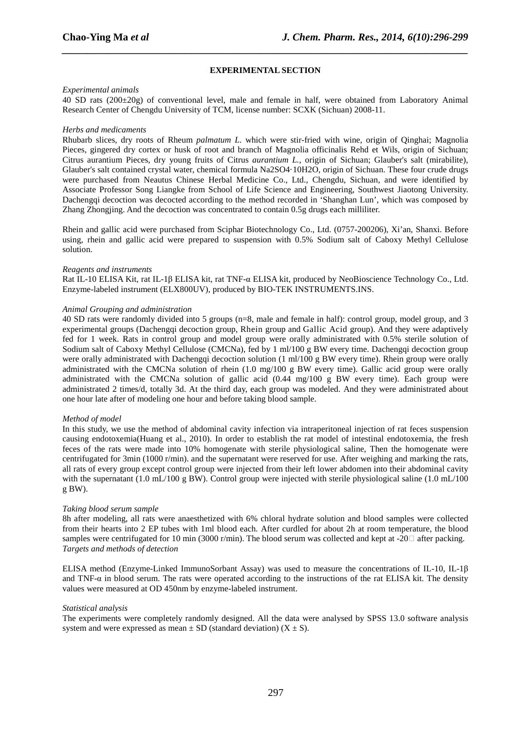# **EXPERIMENTAL SECTION**

*\_\_\_\_\_\_\_\_\_\_\_\_\_\_\_\_\_\_\_\_\_\_\_\_\_\_\_\_\_\_\_\_\_\_\_\_\_\_\_\_\_\_\_\_\_\_\_\_\_\_\_\_\_\_\_\_\_\_\_\_\_\_\_\_\_\_\_\_\_\_\_\_\_\_\_\_\_\_*

# *Experimental animals*

40 SD rats (200±20g) of conventional level, male and female in half, were obtained from Laboratory Animal Research Center of Chengdu University of TCM, license number: SCXK (Sichuan) 2008-11.

## *Herbs and medicaments*

Rhubarb slices, dry roots of Rheum *palmatum L*. which were stir-fried with wine, origin of Qinghai; Magnolia Pieces, gingered dry cortex or husk of root and branch of Magnolia officinalis Rehd et Wils, origin of Sichuan; Citrus aurantium Pieces, dry young fruits of Citrus *aurantium L.*, origin of Sichuan; Glauber's salt (mirabilite), Glauber's salt contained crystal water, chemical formula Na2SO4·10H2O, origin of Sichuan. These four crude drugs were purchased from Neautus Chinese Herbal Medicine Co., Ltd., Chengdu, Sichuan, and were identified by Associate Professor Song Liangke from School of Life Science and Engineering, Southwest Jiaotong University. Dachengqi decoction was decocted according to the method recorded in 'Shanghan Lun', which was composed by Zhang Zhongjing. And the decoction was concentrated to contain 0.5g drugs each milliliter.

Rhein and gallic acid were purchased from Sciphar Biotechnology Co., Ltd. (0757-200206), Xi'an, Shanxi. Before using, rhein and gallic acid were prepared to suspension with 0.5% Sodium salt of Caboxy Methyl Cellulose solution.

## *Reagents and instruments*

Rat IL-10 ELISA Kit, rat IL-1β ELISA kit, rat TNF-α ELISA kit, produced by NeoBioscience Technology Co., Ltd. Enzyme-labeled instrument (ELX800UV), produced by BIO-TEK INSTRUMENTS.INS.

## *Animal Grouping and administration*

40 SD rats were randomly divided into 5 groups (n=8, male and female in half): control group, model group, and 3 experimental groups (Dachengqi decoction group, Rhein group and Gallic Acid group). And they were adaptively fed for 1 week. Rats in control group and model group were orally administrated with 0.5% sterile solution of Sodium salt of Caboxy Methyl Cellulose (CMCNa), fed by 1 ml/100 g BW every time. Dachengqi decoction group were orally administrated with Dachengqi decoction solution (1 ml/100 g BW every time). Rhein group were orally administrated with the CMCNa solution of rhein (1.0 mg/100 g BW every time). Gallic acid group were orally administrated with the CMCNa solution of gallic acid (0.44 mg/100 g BW every time). Each group were administrated 2 times/d, totally 3d. At the third day, each group was modeled. And they were administrated about one hour late after of modeling one hour and before taking blood sample.

#### *Method of model*

In this study, we use the method of abdominal cavity infection via intraperitoneal injection of rat feces suspension causing endotoxemia(Huang et al., 2010). In order to establish the rat model of intestinal endotoxemia, the fresh feces of the rats were made into 10% homogenate with sterile physiological saline, Then the homogenate were centrifugated for 3min (1000 r/min). and the supernatant were reserved for use. After weighing and marking the rats, all rats of every group except control group were injected from their left lower abdomen into their abdominal cavity with the supernatant (1.0 mL/100 g BW). Control group were injected with sterile physiological saline (1.0 mL/100  $g$  BW).

# *Taking blood serum sample*

8h after modeling, all rats were anaesthetized with 6% chloral hydrate solution and blood samples were collected from their hearts into 2 EP tubes with 1ml blood each. After curdled for about 2h at room temperature, the blood samples were centrifugated for 10 min (3000 r/min). The blood serum was collected and kept at -20 $\Box$  after packing. *Targets and methods of detection*

ELISA method (Enzyme-Linked ImmunoSorbant Assay) was used to measure the concentrations of IL-10, IL-1β and TNF- $\alpha$  in blood serum. The rats were operated according to the instructions of the rat ELISA kit. The density values were measured at OD 450nm by enzyme-labeled instrument.

#### *Statistical analysis*

The experiments were completely randomly designed. All the data were analysed by SPSS 13.0 software analysis system and were expressed as mean  $\pm$  SD (standard deviation) (X  $\pm$  S).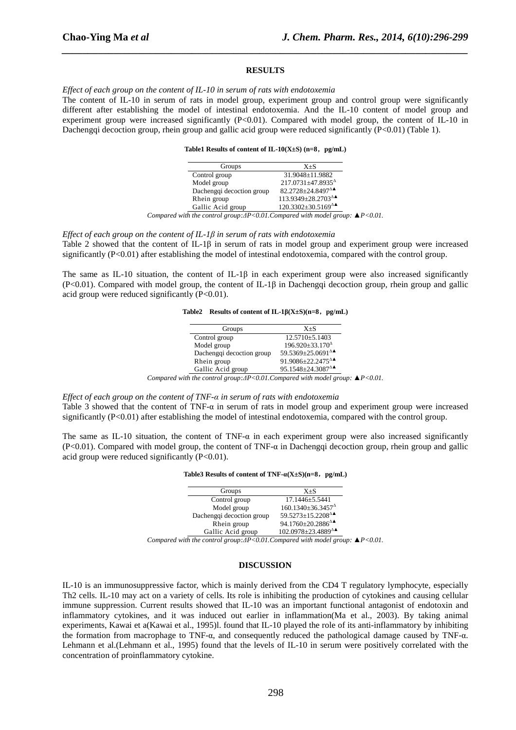#### **RESULTS**

*\_\_\_\_\_\_\_\_\_\_\_\_\_\_\_\_\_\_\_\_\_\_\_\_\_\_\_\_\_\_\_\_\_\_\_\_\_\_\_\_\_\_\_\_\_\_\_\_\_\_\_\_\_\_\_\_\_\_\_\_\_\_\_\_\_\_\_\_\_\_\_\_\_\_\_\_\_\_*

*Effect of each group on the content of IL-10 in serum of rats with endotoxemia* 

The content of IL-10 in serum of rats in model group, experiment group and control group were significantly different after establishing the model of intestinal endotoxemia. And the IL-10 content of model group and experiment group were increased significantly (P<0.01). Compared with model group, the content of IL-10 in Dachengqi decoction group, rhein group and gallic acid group were reduced significantly (P<0.01) (Table 1).

**Table1 Results of content of IL-10(X±S) (n=8**,**pg/mL)** 

| Groups                    | $X + S$                                                  |
|---------------------------|----------------------------------------------------------|
| Control group             | 31.9048±11.9882                                          |
| Model group               | $217.0731 \pm 47.8935$ <sup><math>\triangle</math></sup> |
| Dachengqi decoction group | 82.2728 $\pm$ 24.8497 $\Delta$                           |
| Rhein group               | $113.9349 \pm 28.2703$ <sup><math>\Delta</math></sup>    |
| Gallic Acid group         | $120.3302 \pm 30.5169$ <sup><math>\triangle</math></sup> |

*Compared with the control group:∆P<0.01.Compared with model group: ▲P<0.01.* 

*Effect of each group on the content of IL-1β in serum of rats with endotoxemia* 

Table 2 showed that the content of IL-1β in serum of rats in model group and experiment group were increased significantly (P<0.01) after establishing the model of intestinal endotoxemia, compared with the control group.

The same as IL-10 situation, the content of IL-1β in each experiment group were also increased significantly (P<0.01). Compared with model group, the content of IL-1β in Dachengqi decoction group, rhein group and gallic acid group were reduced significantly  $(P<0.01)$ .

**Table2 Results of content of IL-1β(X±S)(n=8**,**pg/mL)** 

| $12.5710 \pm 5.1403$                                              |
|-------------------------------------------------------------------|
| $196.920 \pm 33.170$ <sup><math>\triangle</math></sup>            |
| 59.5369±25.0691 <sup>△▲</sup>                                     |
| 91.9086 $\pm$ 22.2475 <sup><math>\triangle</math></sup>           |
| 95.1548 $\pm$ 24.3087 $^{\Delta}$                                 |
| $od$ with the control group: $AD<0.01$ Compared with model group: |

*Compared with the control group:∆P<0.01.Compared with model group: ▲P<0.01.* 

*Effect of each group on the content of TNF-α in serum of rats with endotoxemia*  Table 3 showed that the content of TNF-α in serum of rats in model group and experiment group were increased significantly (P<0.01) after establishing the model of intestinal endotoxemia, compared with the control group.

The same as IL-10 situation, the content of TNF- $\alpha$  in each experiment group were also increased significantly (P<0.01). Compared with model group, the content of TNF-α in Dachengqi decoction group, rhein group and gallic acid group were reduced significantly  $(P<0.01)$ .

#### **Table3 Results of content of TNF-α(X±S)(n=8**,**pg/mL)**

| Groups                    | $X + S$                                                  |
|---------------------------|----------------------------------------------------------|
| Control group             | $17.1446 \pm 5.5441$                                     |
| Model group               | $160.1340 \pm 36.3457$ <sup><math>\triangle</math></sup> |
| Dachengqi decoction group | $59.5273 \pm 15.2208$ <sup><math>\triangle</math></sup>  |
| Rhein group               | 94.1760 $\pm$ 20.2886 <sup><math>\triangle</math></sup>  |
| Gallic Acid group         | $102.0978 \pm 23.4889$ <sup><math>\triangle</math></sup> |

*Compared with the control group:∆P<0.01.Compared with model group: ▲P<0.01.* 

## **DISCUSSION**

IL-10 is an immunosuppressive factor, which is mainly derived from the CD4 T regulatory lymphocyte, especially Th2 cells. IL-10 may act on a variety of cells. Its role is inhibiting the production of cytokines and causing cellular immune suppression. Current results showed that IL-10 was an important functional antagonist of endotoxin and inflammatory cytokines, and it was induced out earlier in inflammation(Ma et al., 2003). By taking animal experiments, Kawai et a(Kawai et al., 1995)l. found that IL-10 played the role of its anti-inflammatory by inhibiting the formation from macrophage to TNF-α, and consequently reduced the pathological damage caused by TNF-α. Lehmann et al.(Lehmann et al., 1995) found that the levels of IL-10 in serum were positively correlated with the concentration of proinflammatory cytokine.